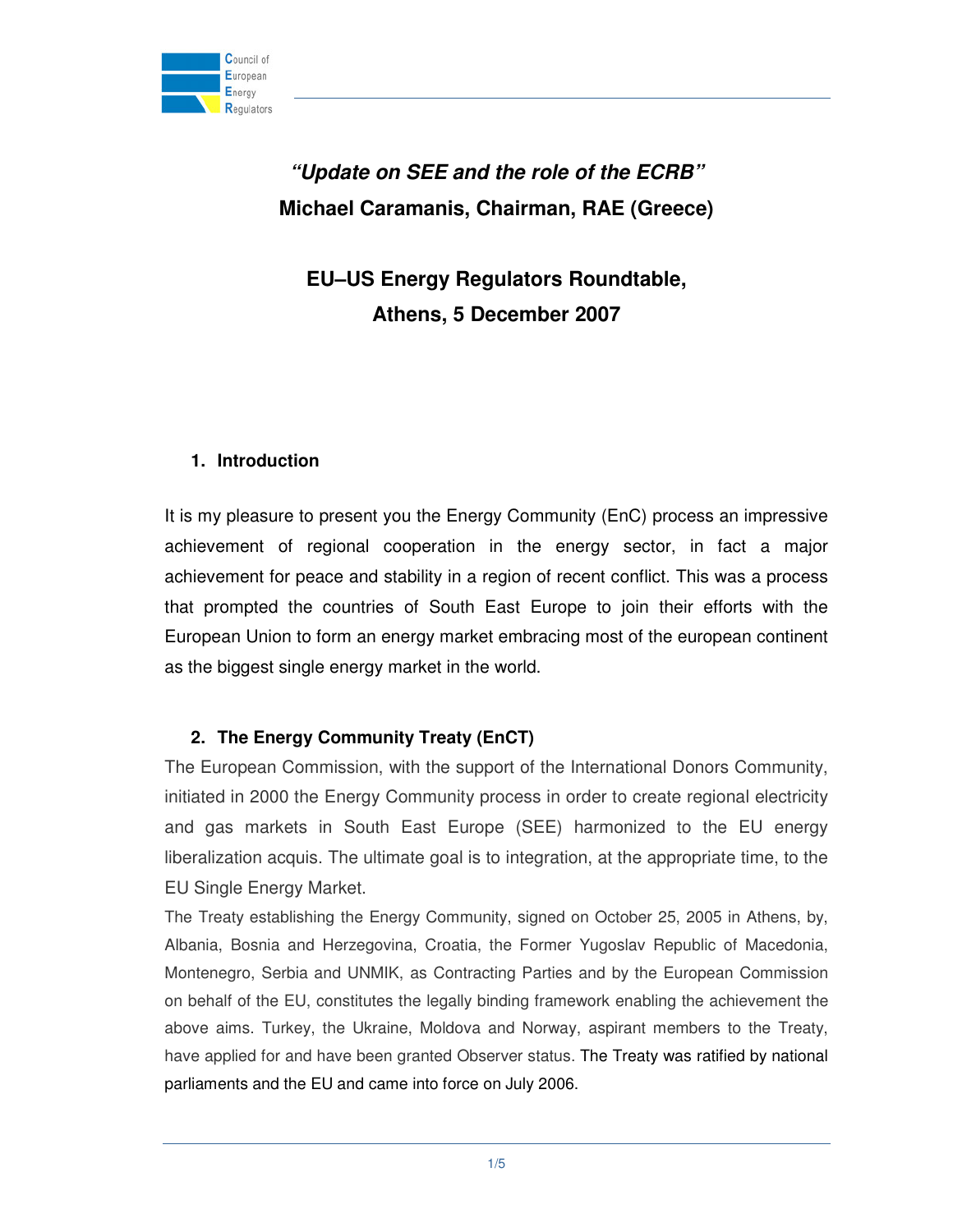

**"Update on SEE and the role of the ECRB" Michael Caramanis, Chairman, RAE (Greece)** 

**EU–US Energy Regulators Roundtable, Athens, 5 December 2007** 

## **1. Introduction**

It is my pleasure to present you the Energy Community (EnC) process an impressive achievement of regional cooperation in the energy sector, in fact a major achievement for peace and stability in a region of recent conflict. This was a process that prompted the countries of South East Europe to join their efforts with the European Union to form an energy market embracing most of the european continent as the biggest single energy market in the world.

## **2. The Energy Community Treaty (EnCT)**

The European Commission, with the support of the International Donors Community, initiated in 2000 the Energy Community process in order to create regional electricity and gas markets in South East Europe (SEE) harmonized to the EU energy liberalization acquis. The ultimate goal is to integration, at the appropriate time, to the EU Single Energy Market.

The Treaty establishing the Energy Community, signed on October 25, 2005 in Athens, by, Albania, Bosnia and Herzegovina, Croatia, the Former Yugoslav Republic of Macedonia, Montenegro, Serbia and UNMIK, as Contracting Parties and by the European Commission on behalf of the EU, constitutes the legally binding framework enabling the achievement the above aims. Turkey, the Ukraine, Moldova and Norway, aspirant members to the Treaty, have applied for and have been granted Observer status. The Treaty was ratified by national parliaments and the EU and came into force on July 2006.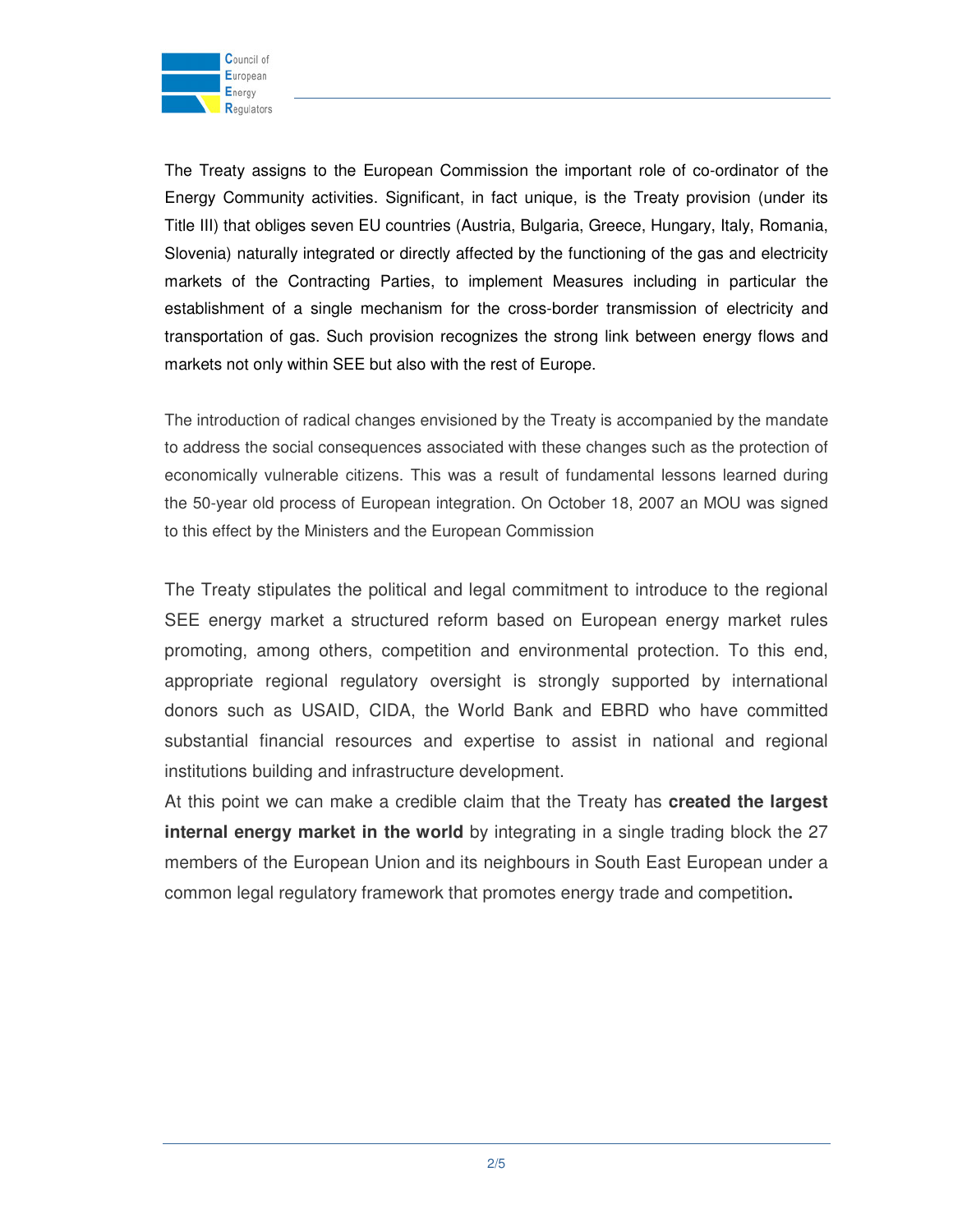

The Treaty assigns to the European Commission the important role of co-ordinator of the Energy Community activities. Significant, in fact unique, is the Treaty provision (under its Title III) that obliges seven EU countries (Austria, Bulgaria, Greece, Hungary, Italy, Romania, Slovenia) naturally integrated or directly affected by the functioning of the gas and electricity markets of the Contracting Parties, to implement Measures including in particular the establishment of a single mechanism for the cross-border transmission of electricity and transportation of gas. Such provision recognizes the strong link between energy flows and markets not only within SEE but also with the rest of Europe.

The introduction of radical changes envisioned by the Treaty is accompanied by the mandate to address the social consequences associated with these changes such as the protection of economically vulnerable citizens. This was a result of fundamental lessons learned during the 50-year old process of European integration. On October 18, 2007 an MOU was signed to this effect by the Ministers and the European Commission

The Treaty stipulates the political and legal commitment to introduce to the regional SEE energy market a structured reform based on European energy market rules promoting, among others, competition and environmental protection. To this end, appropriate regional regulatory oversight is strongly supported by international donors such as USAID, CIDA, the World Bank and EBRD who have committed substantial financial resources and expertise to assist in national and regional institutions building and infrastructure development.

At this point we can make a credible claim that the Treaty has **created the largest internal energy market in the world** by integrating in a single trading block the 27 members of the European Union and its neighbours in South East European under a common legal regulatory framework that promotes energy trade and competition**.**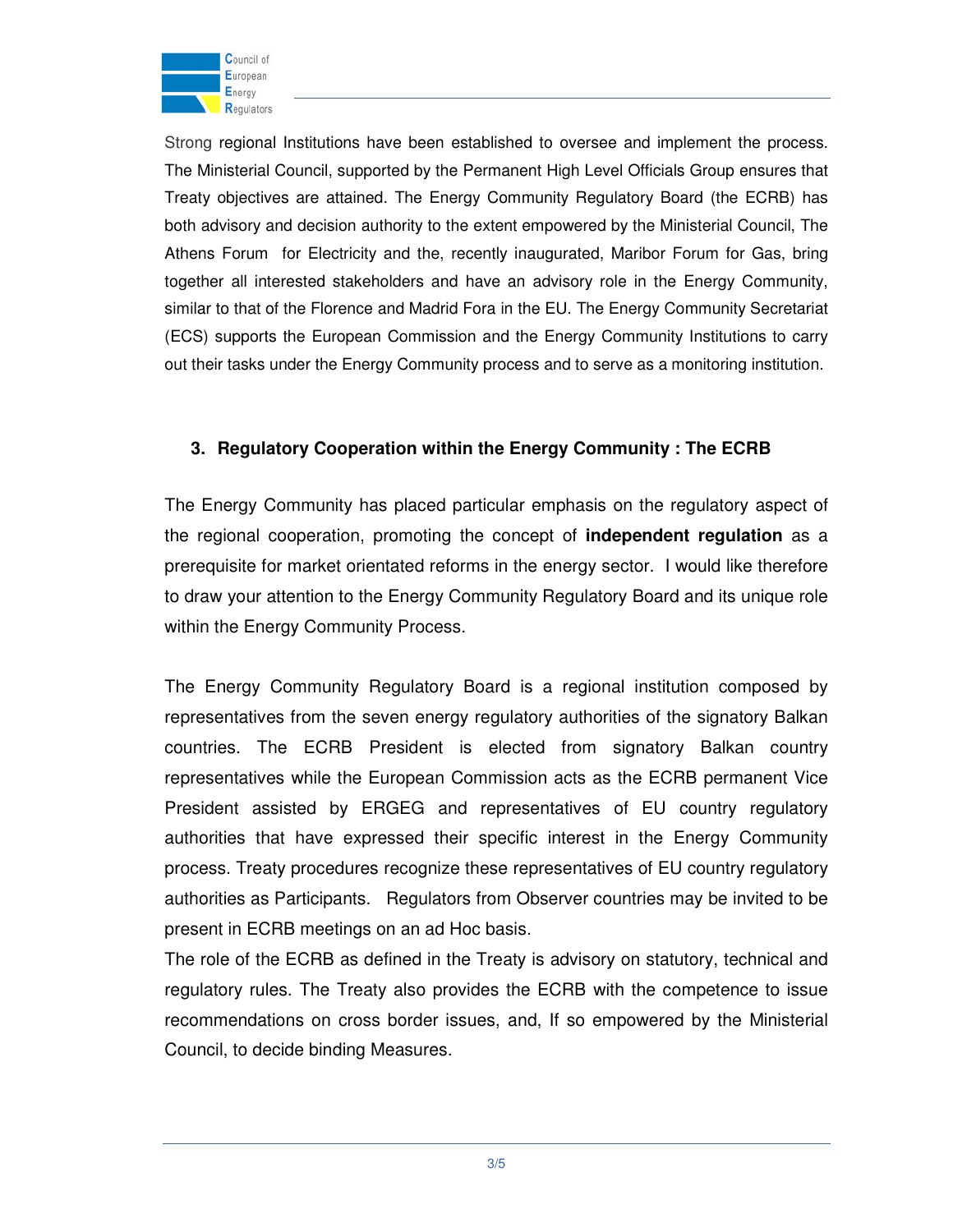

Strong regional Institutions have been established to oversee and implement the process. The Ministerial Council, supported by the Permanent High Level Officials Group ensures that Treaty objectives are attained. The Energy Community Regulatory Board (the ECRB) has both advisory and decision authority to the extent empowered by the Ministerial Council, The Athens Forum for Electricity and the, recently inaugurated, Maribor Forum for Gas, bring together all interested stakeholders and have an advisory role in the Energy Community, similar to that of the Florence and Madrid Fora in the EU. The Energy Community Secretariat (ECS) supports the European Commission and the Energy Community Institutions to carry out their tasks under the Energy Community process and to serve as a monitoring institution.

## **3. Regulatory Cooperation within the Energy Community : The ECRB**

The Energy Community has placed particular emphasis on the regulatory aspect of the regional cooperation, promoting the concept of **independent regulation** as a prerequisite for market orientated reforms in the energy sector. I would like therefore to draw your attention to the Energy Community Regulatory Board and its unique role within the Energy Community Process.

The Energy Community Regulatory Board is a regional institution composed by representatives from the seven energy regulatory authorities of the signatory Balkan countries. The ECRB President is elected from signatory Balkan country representatives while the European Commission acts as the ECRB permanent Vice President assisted by ERGEG and representatives of EU country regulatory authorities that have expressed their specific interest in the Energy Community process. Treaty procedures recognize these representatives of EU country regulatory authorities as Participants. Regulators from Observer countries may be invited to be present in ECRB meetings on an ad Hoc basis.

The role of the ECRB as defined in the Treaty is advisory on statutory, technical and regulatory rules. The Treaty also provides the ECRB with the competence to issue recommendations on cross border issues, and, If so empowered by the Ministerial Council, to decide binding Measures.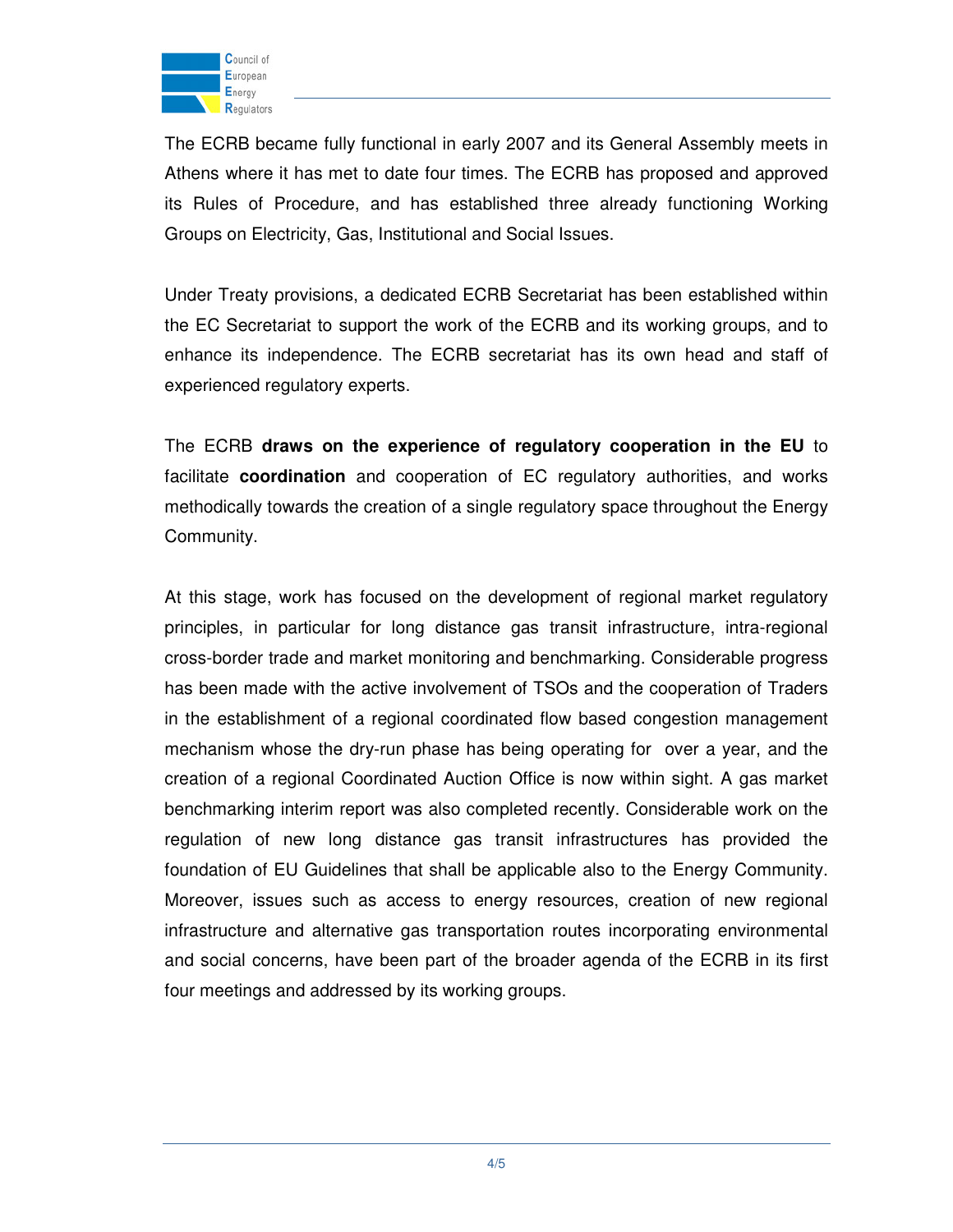

The ECRB became fully functional in early 2007 and its General Assembly meets in Athens where it has met to date four times. The ECRB has proposed and approved its Rules of Procedure, and has established three already functioning Working Groups on Electricity, Gas, Institutional and Social Issues.

Under Treaty provisions, a dedicated ECRB Secretariat has been established within the EC Secretariat to support the work of the ECRB and its working groups, and to enhance its independence. The ECRB secretariat has its own head and staff of experienced regulatory experts.

The ECRB **draws on the experience of regulatory cooperation in the EU** to facilitate **coordination** and cooperation of EC regulatory authorities, and works methodically towards the creation of a single regulatory space throughout the Energy Community.

At this stage, work has focused on the development of regional market regulatory principles, in particular for long distance gas transit infrastructure, intra-regional cross-border trade and market monitoring and benchmarking. Considerable progress has been made with the active involvement of TSOs and the cooperation of Traders in the establishment of a regional coordinated flow based congestion management mechanism whose the dry-run phase has being operating for over a year, and the creation of a regional Coordinated Auction Office is now within sight. A gas market benchmarking interim report was also completed recently. Considerable work on the regulation of new long distance gas transit infrastructures has provided the foundation of EU Guidelines that shall be applicable also to the Energy Community. Moreover, issues such as access to energy resources, creation of new regional infrastructure and alternative gas transportation routes incorporating environmental and social concerns, have been part of the broader agenda of the ECRB in its first four meetings and addressed by its working groups.